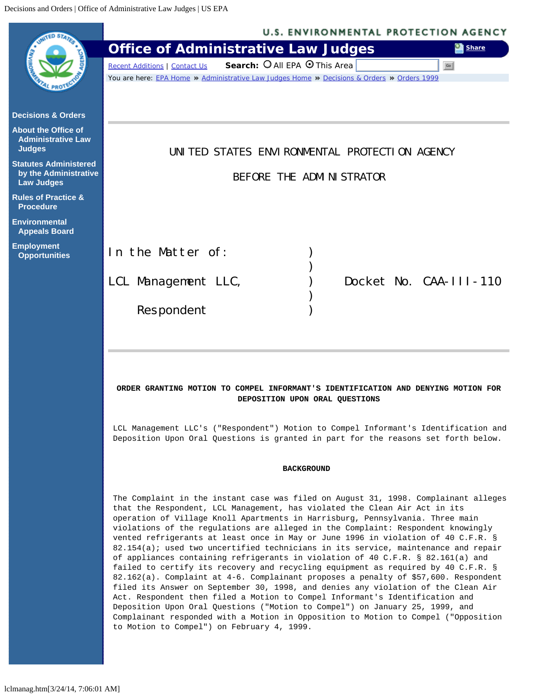<span id="page-0-0"></span>

| <b>Office of Administrative Law Judges</b><br>Search: O All EPA O This Area<br><b>Recent Additions   Contact Us</b><br>You are here: EPA Home * Administrative Law Judges Home * Decisions & Orders * Orders 1999<br><b>Decisions &amp; Orders</b><br><b>About the Office of</b><br><b>Administrative Law</b><br><b>Judges</b><br>UNITED STATES ENVIRONMENTAL PROTECTION AGENCY<br><b>Statutes Administered</b><br>by the Administrative<br>BEFORE THE ADMINISTRATOR<br><b>Law Judges</b><br><b>Rules of Practice &amp;</b><br><b>Procedure</b><br><b>Environmental</b>                                                                                                                                                                                                                                                                                                                                                                                                                                                                                                                                                                                                   | Share<br>Go            |  |
|---------------------------------------------------------------------------------------------------------------------------------------------------------------------------------------------------------------------------------------------------------------------------------------------------------------------------------------------------------------------------------------------------------------------------------------------------------------------------------------------------------------------------------------------------------------------------------------------------------------------------------------------------------------------------------------------------------------------------------------------------------------------------------------------------------------------------------------------------------------------------------------------------------------------------------------------------------------------------------------------------------------------------------------------------------------------------------------------------------------------------------------------------------------------------|------------------------|--|
|                                                                                                                                                                                                                                                                                                                                                                                                                                                                                                                                                                                                                                                                                                                                                                                                                                                                                                                                                                                                                                                                                                                                                                           |                        |  |
|                                                                                                                                                                                                                                                                                                                                                                                                                                                                                                                                                                                                                                                                                                                                                                                                                                                                                                                                                                                                                                                                                                                                                                           |                        |  |
|                                                                                                                                                                                                                                                                                                                                                                                                                                                                                                                                                                                                                                                                                                                                                                                                                                                                                                                                                                                                                                                                                                                                                                           |                        |  |
|                                                                                                                                                                                                                                                                                                                                                                                                                                                                                                                                                                                                                                                                                                                                                                                                                                                                                                                                                                                                                                                                                                                                                                           |                        |  |
|                                                                                                                                                                                                                                                                                                                                                                                                                                                                                                                                                                                                                                                                                                                                                                                                                                                                                                                                                                                                                                                                                                                                                                           |                        |  |
|                                                                                                                                                                                                                                                                                                                                                                                                                                                                                                                                                                                                                                                                                                                                                                                                                                                                                                                                                                                                                                                                                                                                                                           |                        |  |
|                                                                                                                                                                                                                                                                                                                                                                                                                                                                                                                                                                                                                                                                                                                                                                                                                                                                                                                                                                                                                                                                                                                                                                           |                        |  |
|                                                                                                                                                                                                                                                                                                                                                                                                                                                                                                                                                                                                                                                                                                                                                                                                                                                                                                                                                                                                                                                                                                                                                                           |                        |  |
| <b>Appeals Board</b>                                                                                                                                                                                                                                                                                                                                                                                                                                                                                                                                                                                                                                                                                                                                                                                                                                                                                                                                                                                                                                                                                                                                                      |                        |  |
| <b>Employment</b><br>In the Matter of:<br><b>Opportunities</b>                                                                                                                                                                                                                                                                                                                                                                                                                                                                                                                                                                                                                                                                                                                                                                                                                                                                                                                                                                                                                                                                                                            |                        |  |
| LCL Management LLC,                                                                                                                                                                                                                                                                                                                                                                                                                                                                                                                                                                                                                                                                                                                                                                                                                                                                                                                                                                                                                                                                                                                                                       | Docket No. CAA-III-110 |  |
|                                                                                                                                                                                                                                                                                                                                                                                                                                                                                                                                                                                                                                                                                                                                                                                                                                                                                                                                                                                                                                                                                                                                                                           |                        |  |
| Respondent                                                                                                                                                                                                                                                                                                                                                                                                                                                                                                                                                                                                                                                                                                                                                                                                                                                                                                                                                                                                                                                                                                                                                                |                        |  |
|                                                                                                                                                                                                                                                                                                                                                                                                                                                                                                                                                                                                                                                                                                                                                                                                                                                                                                                                                                                                                                                                                                                                                                           |                        |  |
|                                                                                                                                                                                                                                                                                                                                                                                                                                                                                                                                                                                                                                                                                                                                                                                                                                                                                                                                                                                                                                                                                                                                                                           |                        |  |
| ORDER GRANTING MOTION TO COMPEL INFORMANT'S IDENTIFICATION AND DENYING MOTION FOR<br>DEPOSITION UPON ORAL QUESTIONS                                                                                                                                                                                                                                                                                                                                                                                                                                                                                                                                                                                                                                                                                                                                                                                                                                                                                                                                                                                                                                                       |                        |  |
| LCL Management LLC's ("Respondent") Motion to Compel Informant's Identification and<br>Deposition Upon Oral Questions is granted in part for the reasons set forth below.                                                                                                                                                                                                                                                                                                                                                                                                                                                                                                                                                                                                                                                                                                                                                                                                                                                                                                                                                                                                 |                        |  |
| <b>BACKGROUND</b>                                                                                                                                                                                                                                                                                                                                                                                                                                                                                                                                                                                                                                                                                                                                                                                                                                                                                                                                                                                                                                                                                                                                                         |                        |  |
| The Complaint in the instant case was filed on August 31, 1998. Complainant alleges<br>that the Respondent, LCL Management, has violated the Clean Air Act in its<br>operation of Village Knoll Apartments in Harrisburg, Pennsylvania. Three main<br>violations of the regulations are alleged in the Complaint: Respondent knowingly<br>vented refrigerants at least once in May or June 1996 in violation of 40 C.F.R. §<br>82.154(a); used two uncertified technicians in its service, maintenance and repair<br>of appliances containing refrigerants in violation of 40 C.F.R. § 82.161(a) and<br>failed to certify its recovery and recycling equipment as required by 40 C.F.R. §<br>82.162(a). Complaint at 4-6. Complainant proposes a penalty of \$57,600. Respondent<br>filed its Answer on September 30, 1998, and denies any violation of the Clean Air<br>Act. Respondent then filed a Motion to Compel Informant's Identification and<br>Deposition Upon Oral Questions ("Motion to Compel") on January 25, 1999, and<br>Complainant responded with a Motion in Opposition to Motion to Compel ("Opposition<br>to Motion to Compel") on February 4, 1999. |                        |  |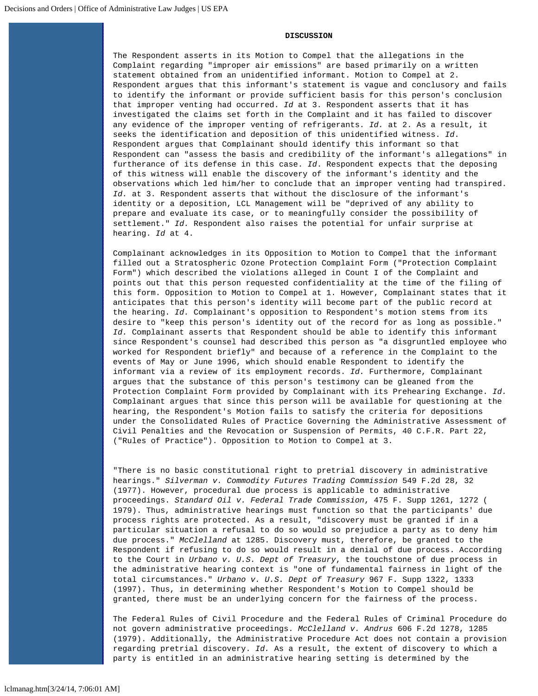## **DISCUSSION**

The Respondent asserts in its Motion to Compel that the allegations in the Complaint regarding "improper air emissions" are based primarily on a written statement obtained from an unidentified informant. Motion to Compel at 2. Respondent argues that this informant's statement is vague and conclusory and fails to identify the informant or provide sufficient basis for this person's conclusion that improper venting had occurred. *Id* at 3. Respondent asserts that it has investigated the claims set forth in the Complaint and it has failed to discover any evidence of the improper venting of refrigerants. *Id.* at 2. As a result, it seeks the identification and deposition of this unidentified witness. *Id*. Respondent argues that Complainant should identify this informant so that Respondent can "assess the basis and credibility of the informant's allegations" in furtherance of its defense in this case. *Id*. Respondent expects that the deposing of this witness will enable the discovery of the informant's identity and the observations which led him/her to conclude that an improper venting had transpired. *Id.* at 3. Respondent asserts that without the disclosure of the informant's identity or a deposition, LCL Management will be "deprived of any ability to prepare and evaluate its case, or to meaningfully consider the possibility of settlement." *Id.* Respondent also raises the potential for unfair surprise at hearing. *Id* at 4.

Complainant acknowledges in its Opposition to Motion to Compel that the informant filled out a Stratospheric Ozone Protection Complaint Form ("Protection Complaint Form") which described the violations alleged in Count I of the Complaint and points out that this person requested confidentiality at the time of the filing of this form. Opposition to Motion to Compel at 1. However, Complainant states that it anticipates that this person's identity will become part of the public record at the hearing. *Id.* Complainant's opposition to Respondent's motion stems from its desire to "keep this person's identity out of the record for as long as possible." *Id.* Complainant asserts that Respondent should be able to identify this informant since Respondent's counsel had described this person as "a disgruntled employee who worked for Respondent briefly" and because of a reference in the Complaint to the events of May or June 1996, which should enable Respondent to identify the informant via a review of its employment records. *Id.* Furthermore, Complainant argues that the substance of this person's testimony can be gleaned from the Protection Complaint Form provided by Complainant with its Prehearing Exchange. *Id.* Complainant argues that since this person will be available for questioning at the hearing, the Respondent's Motion fails to satisfy the criteria for depositions under the Consolidated Rules of Practice Governing the Administrative Assessment of Civil Penalties and the Revocation or Suspension of Permits, 40 C.F.R. Part 22, ("Rules of Practice"). Opposition to Motion to Compel at 3.

"There is no basic constitutional right to pretrial discovery in administrative hearings." *Silverman v. Commodity Futures Trading Commission* 549 F.2d 28, 32 (1977). However, procedural due process is applicable to administrative proceedings. *Standard Oil v. Federal Trade Commission*, 475 F. Supp 1261, 1272 ( 1979). Thus, administrative hearings must function so that the participants' due process rights are protected. As a result, "discovery must be granted if in a particular situation a refusal to do so would so prejudice a party as to deny him due process." *McClelland* at 1285. Discovery must, therefore, be granted to the Respondent if refusing to do so would result in a denial of due process. According to the Court in *Urbano v. U.S. Dept of Treasury*, the touchstone of due process in the administrative hearing context is "one of fundamental fairness in light of the total circumstances." *Urbano v. U.S. Dept of Treasury* 967 F. Supp 1322, 1333 (1997). Thus, in determining whether Respondent's Motion to Compel should be granted, there must be an underlying concern for the fairness of the process.

The Federal Rules of Civil Procedure and the Federal Rules of Criminal Procedure do not govern administrative proceedings. *McClelland v. Andrus* 606 F.2d 1278, 1285 (1979). Additionally, the Administrative Procedure Act does not contain a provision regarding pretrial discovery. *Id.* As a result, the extent of discovery to which a party is entitled in an administrative hearing setting is determined by the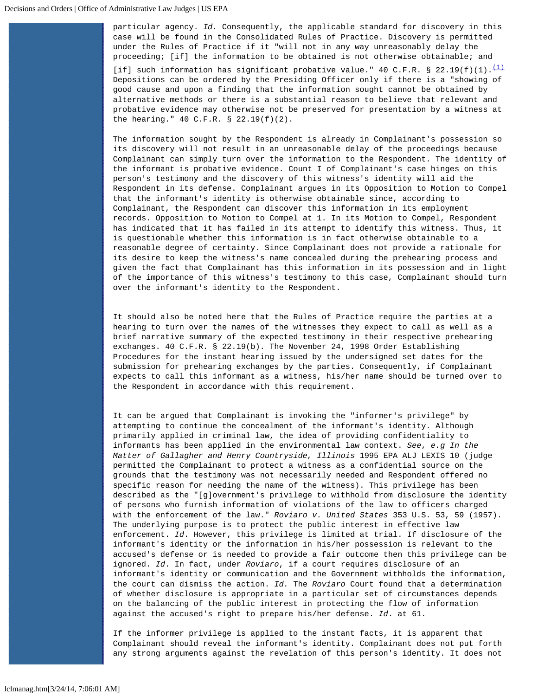particular agency. *Id.* Consequently, the applicable standard for discovery in this case will be found in the Consolidated Rules of Practice. Discovery is permitted under the Rules of Practice if it "will not in any way unreasonably delay the proceeding; [if] the information to be obtained is not otherwise obtainable; and [if] such information has significant probative value." 40 C.F.R. § 22.19(f)[\(1\)](#page-4-0). $\frac{(1)}{(1)}$  Depositions can be ordered by the Presiding Officer only if there is a "showing of good cause and upon a finding that the information sought cannot be obtained by alternative methods or there is a substantial reason to believe that relevant and probative evidence may otherwise not be preserved for presentation by a witness at the hearing." 40 C.F.R. § 22.19(f)(2).

The information sought by the Respondent is already in Complainant's possession so its discovery will not result in an unreasonable delay of the proceedings because Complainant can simply turn over the information to the Respondent. The identity of the informant is probative evidence. Count I of Complainant's case hinges on this person's testimony and the discovery of this witness's identity will aid the Respondent in its defense. Complainant argues in its Opposition to Motion to Compel that the informant's identity is otherwise obtainable since, according to Complainant, the Respondent can discover this information in its employment records. Opposition to Motion to Compel at 1. In its Motion to Compel, Respondent has indicated that it has failed in its attempt to identify this witness. Thus, it is questionable whether this information is in fact otherwise obtainable to a reasonable degree of certainty. Since Complainant does not provide a rationale for its desire to keep the witness's name concealed during the prehearing process and given the fact that Complainant has this information in its possession and in light of the importance of this witness's testimony to this case, Complainant should turn over the informant's identity to the Respondent.

It should also be noted here that the Rules of Practice require the parties at a hearing to turn over the names of the witnesses they expect to call as well as a brief narrative summary of the expected testimony in their respective prehearing exchanges. 40 C.F.R. § 22.19(b). The November 24, 1998 Order Establishing Procedures for the instant hearing issued by the undersigned set dates for the submission for prehearing exchanges by the parties. Consequently, if Complainant expects to call this informant as a witness, his/her name should be turned over to the Respondent in accordance with this requirement.

It can be argued that Complainant is invoking the "informer's privilege" by attempting to continue the concealment of the informant's identity. Although primarily applied in criminal law, the idea of providing confidentiality to informants has been applied in the environmental law context. *See*, *e.g In the Matter of Gallagher and Henry Countryside, Illinois* 1995 EPA ALJ LEXIS 10 (judge permitted the Complainant to protect a witness as a confidential source on the grounds that the testimony was not necessarily needed and Respondent offered no specific reason for needing the name of the witness). This privilege has been described as the "[g]overnment's privilege to withhold from disclosure the identity of persons who furnish information of violations of the law to officers charged with the enforcement of the law." *Roviaro v. United States* 353 U.S. 53, 59 (1957). The underlying purpose is to protect the public interest in effective law enforcement. *Id*. However, this privilege is limited at trial. If disclosure of the informant's identity or the information in his/her possession is relevant to the accused's defense or is needed to provide a fair outcome then this privilege can be ignored. *Id*. In fact, under *Roviaro*, if a court requires disclosure of an informant's identity or communication and the Government withholds the information, the court can dismiss the action. *Id.* The *Roviaro* Court found that a determination of whether disclosure is appropriate in a particular set of circumstances depends on the balancing of the public interest in protecting the flow of information against the accused's right to prepare his/her defense. *Id*. at 61.

If the informer privilege is applied to the instant facts, it is apparent that Complainant should reveal the informant's identity. Complainant does not put forth any strong arguments against the revelation of this person's identity. It does not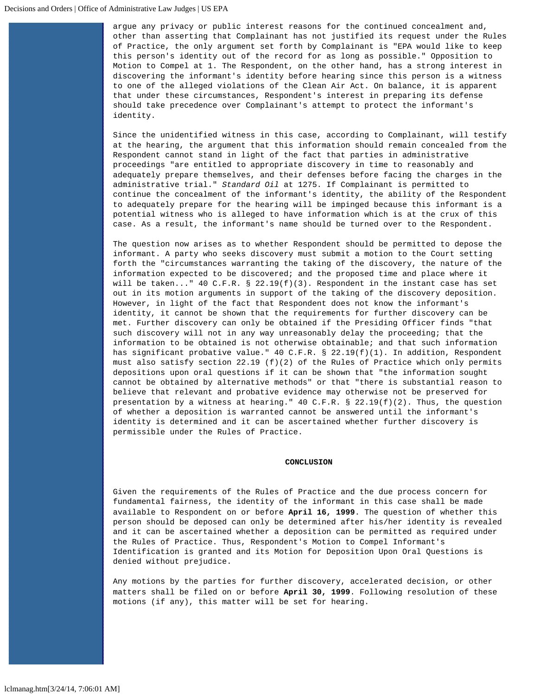argue any privacy or public interest reasons for the continued concealment and, other than asserting that Complainant has not justified its request under the Rules of Practice, the only argument set forth by Complainant is "EPA would like to keep this person's identity out of the record for as long as possible." Opposition to Motion to Compel at 1. The Respondent, on the other hand, has a strong interest in discovering the informant's identity before hearing since this person is a witness to one of the alleged violations of the Clean Air Act. On balance, it is apparent that under these circumstances, Respondent's interest in preparing its defense should take precedence over Complainant's attempt to protect the informant's identity.

Since the unidentified witness in this case, according to Complainant, will testify at the hearing, the argument that this information should remain concealed from the Respondent cannot stand in light of the fact that parties in administrative proceedings "are entitled to appropriate discovery in time to reasonably and adequately prepare themselves, and their defenses before facing the charges in the administrative trial." *Standard Oil* at 1275. If Complainant is permitted to continue the concealment of the informant's identity, the ability of the Respondent to adequately prepare for the hearing will be impinged because this informant is a potential witness who is alleged to have information which is at the crux of this case. As a result, the informant's name should be turned over to the Respondent.

The question now arises as to whether Respondent should be permitted to depose the informant. A party who seeks discovery must submit a motion to the Court setting forth the "circumstances warranting the taking of the discovery, the nature of the information expected to be discovered; and the proposed time and place where it will be taken..." 40 C.F.R. § 22.19(f)(3). Respondent in the instant case has set out in its motion arguments in support of the taking of the discovery deposition. However, in light of the fact that Respondent does not know the informant's identity, it cannot be shown that the requirements for further discovery can be met. Further discovery can only be obtained if the Presiding Officer finds "that such discovery will not in any way unreasonably delay the proceeding; that the information to be obtained is not otherwise obtainable; and that such information has significant probative value." 40 C.F.R. § 22.19(f)(1). In addition, Respondent must also satisfy section 22.19 (f)(2) of the Rules of Practice which only permits depositions upon oral questions if it can be shown that "the information sought cannot be obtained by alternative methods" or that "there is substantial reason to believe that relevant and probative evidence may otherwise not be preserved for presentation by a witness at hearing."  $40 \text{ C.F.R. }$  \$  $22.19(f)(2)$ . Thus, the question of whether a deposition is warranted cannot be answered until the informant's identity is determined and it can be ascertained whether further discovery is permissible under the Rules of Practice.

## **CONCLUSION**

Given the requirements of the Rules of Practice and the due process concern for fundamental fairness, the identity of the informant in this case shall be made available to Respondent on or before **April 16, 1999**. The question of whether this person should be deposed can only be determined after his/her identity is revealed and it can be ascertained whether a deposition can be permitted as required under the Rules of Practice. Thus, Respondent's Motion to Compel Informant's Identification is granted and its Motion for Deposition Upon Oral Questions is denied without prejudice.

Any motions by the parties for further discovery, accelerated decision, or other matters shall be filed on or before **April 30, 1999**. Following resolution of these motions (if any), this matter will be set for hearing.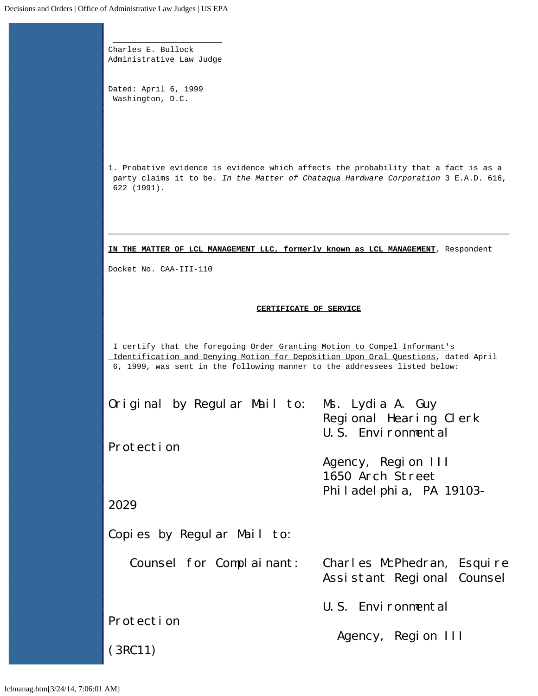\_\_\_\_\_\_\_\_\_\_\_\_\_\_\_\_\_\_\_\_\_\_\_ Charles E. Bullock Administrative Law Judge

Dated: April 6, 1999 Washington, D.C.

<span id="page-4-0"></span>1. Probative evidence is evidence which affects the probability that a fact is as a party claims it to be. *In the Matter of Chataqua Hardware Corporation* 3 E.A.D. 616, 622 (1991).

**IN THE MATTER OF LCL MANAGEMENT LLC, formerly known as LCL MANAGEMENT**, Respondent

Docket No. CAA-III-110

## **CERTIFICATE OF SERVICE**

I certify that the foregoing Order Granting Motion to Compel Informant's Identification and Denying Motion for Deposition Upon Oral Questions, dated April 6, 1999, was sent in the following manner to the addressees listed below:

| Original by Regular Mail to: Ms. Lydia A. Guy |                                                          |
|-----------------------------------------------|----------------------------------------------------------|
|                                               | Regional Hearing Clerk<br>U.S. Environmental             |
| Protection                                    |                                                          |
|                                               | Agency, Region III<br>1650 Arch Street                   |
|                                               | Philadelphia, PA 19103-                                  |
| 2029                                          |                                                          |
| Copies by Regular Mail to:                    |                                                          |
| Counsel for Complainant:                      | Charles McPhedran, Esquire<br>Assistant Regional Counsel |
|                                               | U.S. Environmental                                       |
| Protection                                    |                                                          |
|                                               | Agency, Region III                                       |
| (3RC11)                                       |                                                          |